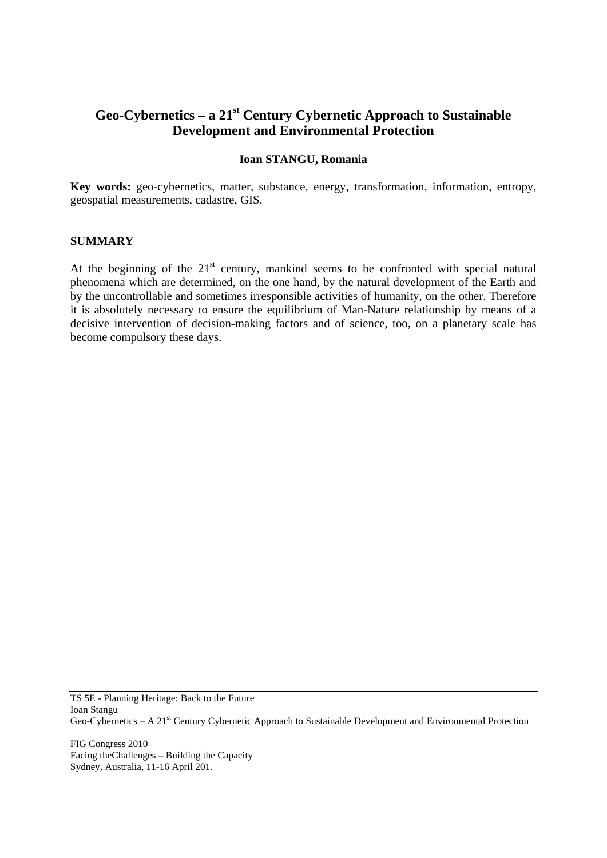# **Geo-Cybernetics – a 21st Century Cybernetic Approach to Sustainable Development and Environmental Protection**

#### **Ioan STANGU, Romania**

**Key words:** geo-cybernetics, matter, substance, energy, transformation, information, entropy, geospatial measurements, cadastre, GIS.

#### **SUMMARY**

At the beginning of the  $21<sup>st</sup>$  century, mankind seems to be confronted with special natural phenomena which are determined, on the one hand, by the natural development of the Earth and by the uncontrollable and sometimes irresponsible activities of humanity, on the other. Therefore it is absolutely necessary to ensure the equilibrium of Man-Nature relationship by means of a decisive intervention of decision-making factors and of science, too, on a planetary scale has become compulsory these days.

TS 5E - Planning Heritage: Back to the Future Ioan Stangu Geo-Cybernetics – A 21st Century Cybernetic Approach to Sustainable Development and Environmental Protection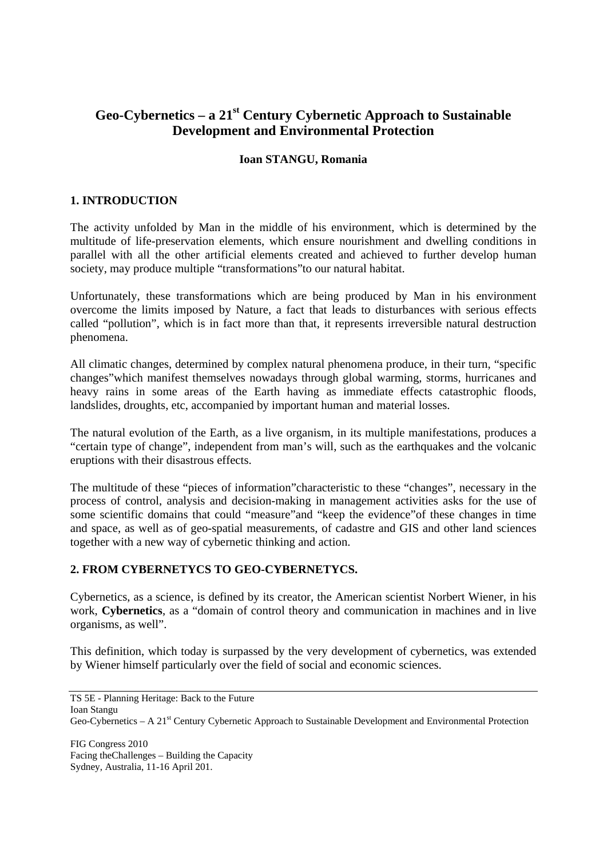# **Geo-Cybernetics – a 21st Century Cybernetic Approach to Sustainable Development and Environmental Protection**

#### **Ioan STANGU, Romania**

## **1. INTRODUCTION**

The activity unfolded by Man in the middle of his environment, which is determined by the multitude of life-preservation elements, which ensure nourishment and dwelling conditions in parallel with all the other artificial elements created and achieved to further develop human society, may produce multiple "transformations"to our natural habitat.

Unfortunately, these transformations which are being produced by Man in his environment overcome the limits imposed by Nature, a fact that leads to disturbances with serious effects called "pollution", which is in fact more than that, it represents irreversible natural destruction phenomena.

All climatic changes, determined by complex natural phenomena produce, in their turn, "specific changes"which manifest themselves nowadays through global warming, storms, hurricanes and heavy rains in some areas of the Earth having as immediate effects catastrophic floods, landslides, droughts, etc, accompanied by important human and material losses.

The natural evolution of the Earth, as a live organism, in its multiple manifestations, produces a "certain type of change", independent from man's will, such as the earthquakes and the volcanic eruptions with their disastrous effects.

The multitude of these "pieces of information"characteristic to these "changes", necessary in the process of control, analysis and decision-making in management activities asks for the use of some scientific domains that could "measure"and "keep the evidence"of these changes in time and space, as well as of geo-spatial measurements, of cadastre and GIS and other land sciences together with a new way of cybernetic thinking and action.

### **2. FROM CYBERNETYCS TO GEO-CYBERNETYCS.**

Cybernetics, as a science, is defined by its creator, the American scientist Norbert Wiener, in his work, **Cybernetics**, as a "domain of control theory and communication in machines and in live organisms, as well".

This definition, which today is surpassed by the very development of cybernetics, was extended by Wiener himself particularly over the field of social and economic sciences.

TS 5E - Planning Heritage: Back to the Future Ioan Stangu Geo-Cybernetics – A 21<sup>st</sup> Century Cybernetic Approach to Sustainable Development and Environmental Protection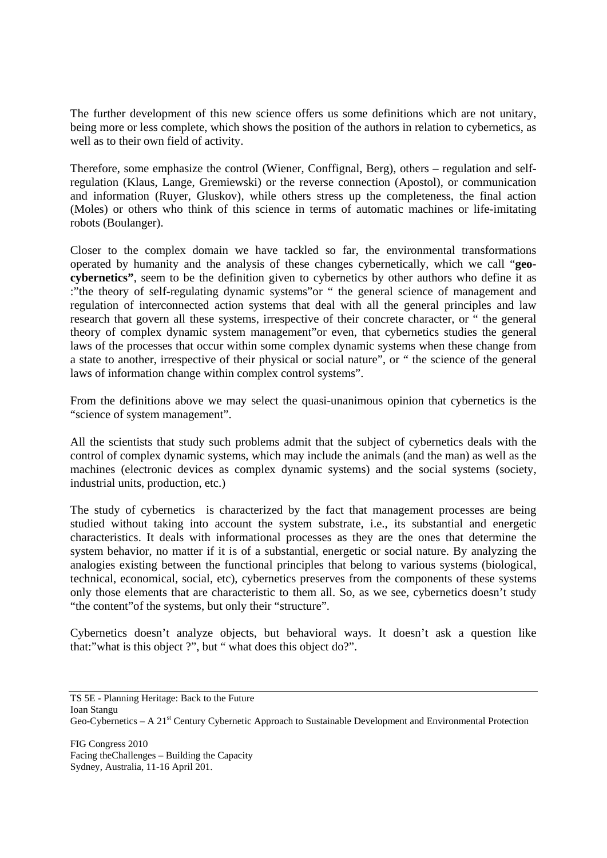The further development of this new science offers us some definitions which are not unitary, being more or less complete, which shows the position of the authors in relation to cybernetics, as well as to their own field of activity.

Therefore, some emphasize the control (Wiener, Conffignal, Berg), others – regulation and selfregulation (Klaus, Lange, Gremiewski) or the reverse connection (Apostol), or communication and information (Ruyer, Gluskov), while others stress up the completeness, the final action (Moles) or others who think of this science in terms of automatic machines or life-imitating robots (Boulanger).

Closer to the complex domain we have tackled so far, the environmental transformations operated by humanity and the analysis of these changes cybernetically, which we call "**geocybernetics"**, seem to be the definition given to cybernetics by other authors who define it as :"the theory of self-regulating dynamic systems"or " the general science of management and regulation of interconnected action systems that deal with all the general principles and law research that govern all these systems, irrespective of their concrete character, or " the general theory of complex dynamic system management"or even, that cybernetics studies the general laws of the processes that occur within some complex dynamic systems when these change from a state to another, irrespective of their physical or social nature", or " the science of the general laws of information change within complex control systems".

From the definitions above we may select the quasi-unanimous opinion that cybernetics is the "science of system management".

All the scientists that study such problems admit that the subject of cybernetics deals with the control of complex dynamic systems, which may include the animals (and the man) as well as the machines (electronic devices as complex dynamic systems) and the social systems (society, industrial units, production, etc.)

The study of cybernetics is characterized by the fact that management processes are being studied without taking into account the system substrate, i.e., its substantial and energetic characteristics. It deals with informational processes as they are the ones that determine the system behavior, no matter if it is of a substantial, energetic or social nature. By analyzing the analogies existing between the functional principles that belong to various systems (biological, technical, economical, social, etc), cybernetics preserves from the components of these systems only those elements that are characteristic to them all. So, as we see, cybernetics doesn't study "the content"of the systems, but only their "structure".

Cybernetics doesn't analyze objects, but behavioral ways. It doesn't ask a question like that:"what is this object ?", but " what does this object do?".

TS 5E - Planning Heritage: Back to the Future Ioan Stangu Geo-Cybernetics – A 21<sup>st</sup> Century Cybernetic Approach to Sustainable Development and Environmental Protection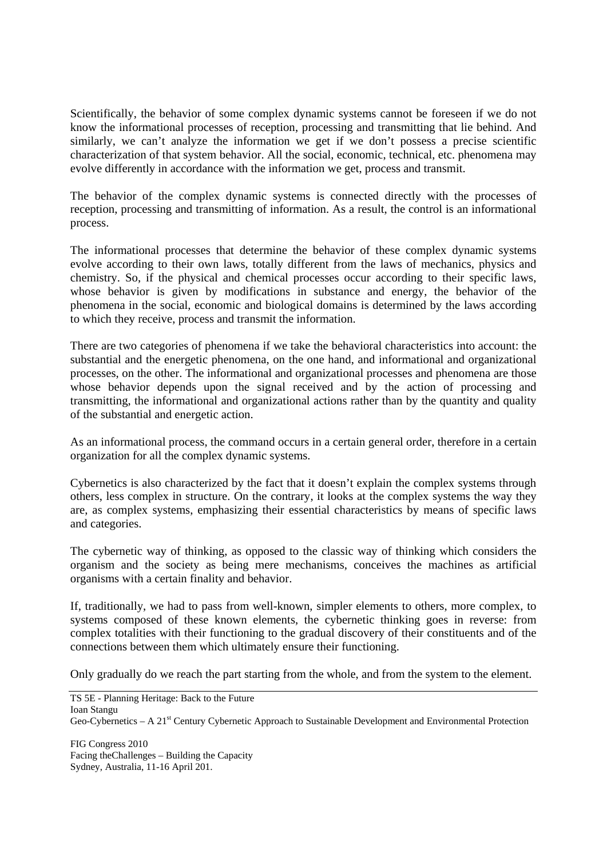Scientifically, the behavior of some complex dynamic systems cannot be foreseen if we do not know the informational processes of reception, processing and transmitting that lie behind. And similarly, we can't analyze the information we get if we don't possess a precise scientific characterization of that system behavior. All the social, economic, technical, etc. phenomena may evolve differently in accordance with the information we get, process and transmit.

The behavior of the complex dynamic systems is connected directly with the processes of reception, processing and transmitting of information. As a result, the control is an informational process.

The informational processes that determine the behavior of these complex dynamic systems evolve according to their own laws, totally different from the laws of mechanics, physics and chemistry. So, if the physical and chemical processes occur according to their specific laws, whose behavior is given by modifications in substance and energy, the behavior of the phenomena in the social, economic and biological domains is determined by the laws according to which they receive, process and transmit the information.

There are two categories of phenomena if we take the behavioral characteristics into account: the substantial and the energetic phenomena, on the one hand, and informational and organizational processes, on the other. The informational and organizational processes and phenomena are those whose behavior depends upon the signal received and by the action of processing and transmitting, the informational and organizational actions rather than by the quantity and quality of the substantial and energetic action.

As an informational process, the command occurs in a certain general order, therefore in a certain organization for all the complex dynamic systems.

Cybernetics is also characterized by the fact that it doesn't explain the complex systems through others, less complex in structure. On the contrary, it looks at the complex systems the way they are, as complex systems, emphasizing their essential characteristics by means of specific laws and categories.

The cybernetic way of thinking, as opposed to the classic way of thinking which considers the organism and the society as being mere mechanisms, conceives the machines as artificial organisms with a certain finality and behavior.

If, traditionally, we had to pass from well-known, simpler elements to others, more complex, to systems composed of these known elements, the cybernetic thinking goes in reverse: from complex totalities with their functioning to the gradual discovery of their constituents and of the connections between them which ultimately ensure their functioning.

Only gradually do we reach the part starting from the whole, and from the system to the element.

TS 5E - Planning Heritage: Back to the Future Ioan Stangu Geo-Cybernetics – A 21<sup>st</sup> Century Cybernetic Approach to Sustainable Development and Environmental Protection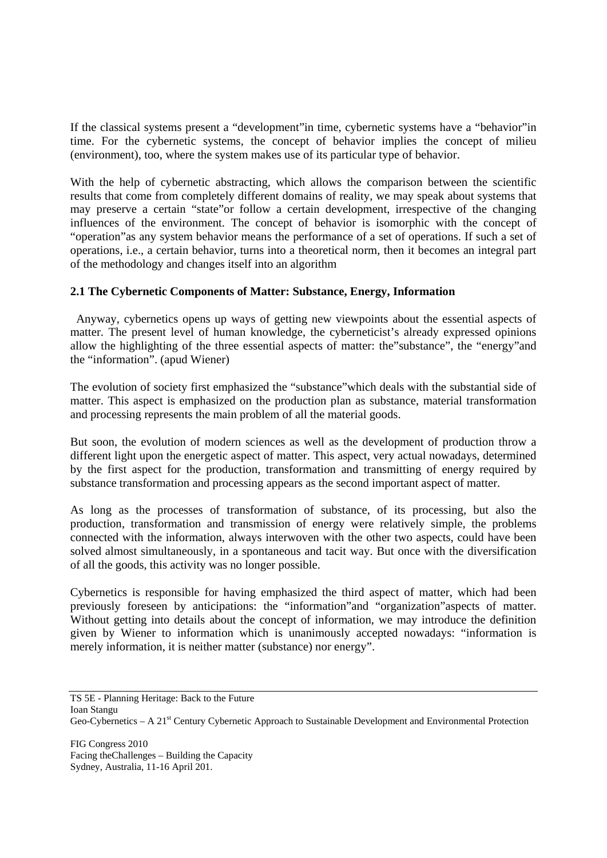If the classical systems present a "development"in time, cybernetic systems have a "behavior"in time. For the cybernetic systems, the concept of behavior implies the concept of milieu (environment), too, where the system makes use of its particular type of behavior.

With the help of cybernetic abstracting, which allows the comparison between the scientific results that come from completely different domains of reality, we may speak about systems that may preserve a certain "state"or follow a certain development, irrespective of the changing influences of the environment. The concept of behavior is isomorphic with the concept of "operation"as any system behavior means the performance of a set of operations. If such a set of operations, i.e., a certain behavior, turns into a theoretical norm, then it becomes an integral part of the methodology and changes itself into an algorithm

### **2.1 The Cybernetic Components of Matter: Substance, Energy, Information**

 Anyway, cybernetics opens up ways of getting new viewpoints about the essential aspects of matter. The present level of human knowledge, the cyberneticist's already expressed opinions allow the highlighting of the three essential aspects of matter: the"substance", the "energy"and the "information". (apud Wiener)

The evolution of society first emphasized the "substance"which deals with the substantial side of matter. This aspect is emphasized on the production plan as substance, material transformation and processing represents the main problem of all the material goods.

But soon, the evolution of modern sciences as well as the development of production throw a different light upon the energetic aspect of matter. This aspect, very actual nowadays, determined by the first aspect for the production, transformation and transmitting of energy required by substance transformation and processing appears as the second important aspect of matter.

As long as the processes of transformation of substance, of its processing, but also the production, transformation and transmission of energy were relatively simple, the problems connected with the information, always interwoven with the other two aspects, could have been solved almost simultaneously, in a spontaneous and tacit way. But once with the diversification of all the goods, this activity was no longer possible.

Cybernetics is responsible for having emphasized the third aspect of matter, which had been previously foreseen by anticipations: the "information"and "organization"aspects of matter. Without getting into details about the concept of information, we may introduce the definition given by Wiener to information which is unanimously accepted nowadays: "information is merely information, it is neither matter (substance) nor energy".

TS 5E - Planning Heritage: Back to the Future Ioan Stangu Geo-Cybernetics – A 21<sup>st</sup> Century Cybernetic Approach to Sustainable Development and Environmental Protection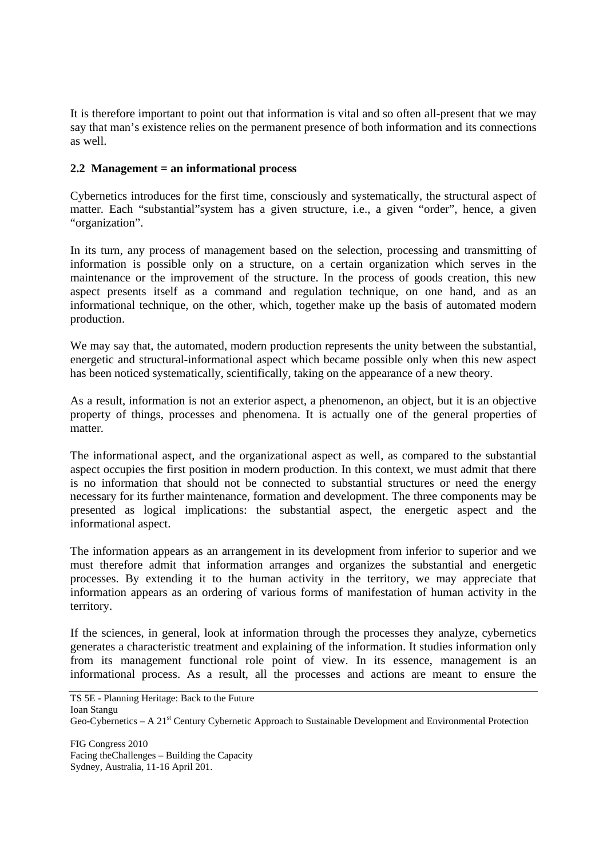It is therefore important to point out that information is vital and so often all-present that we may say that man's existence relies on the permanent presence of both information and its connections as well.

### **2.2 Management = an informational process**

Cybernetics introduces for the first time, consciously and systematically, the structural aspect of matter. Each "substantial"system has a given structure, i.e., a given "order", hence, a given "organization".

In its turn, any process of management based on the selection, processing and transmitting of information is possible only on a structure, on a certain organization which serves in the maintenance or the improvement of the structure. In the process of goods creation, this new aspect presents itself as a command and regulation technique, on one hand, and as an informational technique, on the other, which, together make up the basis of automated modern production.

We may say that, the automated, modern production represents the unity between the substantial, energetic and structural-informational aspect which became possible only when this new aspect has been noticed systematically, scientifically, taking on the appearance of a new theory.

As a result, information is not an exterior aspect, a phenomenon, an object, but it is an objective property of things, processes and phenomena. It is actually one of the general properties of matter.

The informational aspect, and the organizational aspect as well, as compared to the substantial aspect occupies the first position in modern production. In this context, we must admit that there is no information that should not be connected to substantial structures or need the energy necessary for its further maintenance, formation and development. The three components may be presented as logical implications: the substantial aspect, the energetic aspect and the informational aspect.

The information appears as an arrangement in its development from inferior to superior and we must therefore admit that information arranges and organizes the substantial and energetic processes. By extending it to the human activity in the territory, we may appreciate that information appears as an ordering of various forms of manifestation of human activity in the territory.

If the sciences, in general, look at information through the processes they analyze, cybernetics generates a characteristic treatment and explaining of the information. It studies information only from its management functional role point of view. In its essence, management is an informational process. As a result, all the processes and actions are meant to ensure the

TS 5E - Planning Heritage: Back to the Future Ioan Stangu Geo-Cybernetics – A 21<sup>st</sup> Century Cybernetic Approach to Sustainable Development and Environmental Protection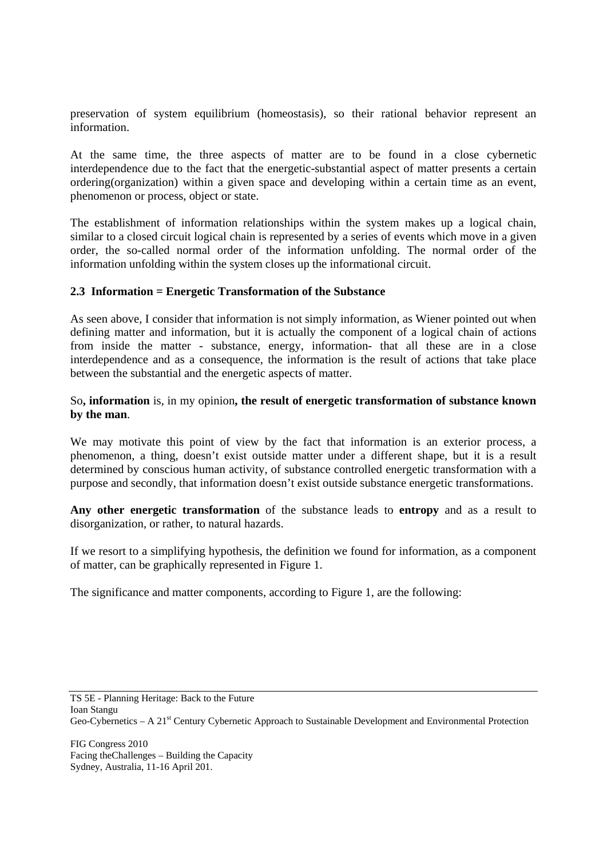preservation of system equilibrium (homeostasis), so their rational behavior represent an information.

At the same time, the three aspects of matter are to be found in a close cybernetic interdependence due to the fact that the energetic-substantial aspect of matter presents a certain ordering(organization) within a given space and developing within a certain time as an event, phenomenon or process, object or state.

The establishment of information relationships within the system makes up a logical chain, similar to a closed circuit logical chain is represented by a series of events which move in a given order, the so-called normal order of the information unfolding. The normal order of the information unfolding within the system closes up the informational circuit.

#### **2.3 Information = Energetic Transformation of the Substance**

As seen above, I consider that information is not simply information, as Wiener pointed out when defining matter and information, but it is actually the component of a logical chain of actions from inside the matter - substance, energy, information- that all these are in a close interdependence and as a consequence, the information is the result of actions that take place between the substantial and the energetic aspects of matter.

### So**, information** is, in my opinion**, the result of energetic transformation of substance known by the man**.

We may motivate this point of view by the fact that information is an exterior process, a phenomenon, a thing, doesn't exist outside matter under a different shape, but it is a result determined by conscious human activity, of substance controlled energetic transformation with a purpose and secondly, that information doesn't exist outside substance energetic transformations.

**Any other energetic transformation** of the substance leads to **entropy** and as a result to disorganization, or rather, to natural hazards.

If we resort to a simplifying hypothesis, the definition we found for information, as a component of matter, can be graphically represented in Figure 1.

The significance and matter components, according to Figure 1, are the following:

TS 5E - Planning Heritage: Back to the Future Ioan Stangu Geo-Cybernetics – A 21<sup>st</sup> Century Cybernetic Approach to Sustainable Development and Environmental Protection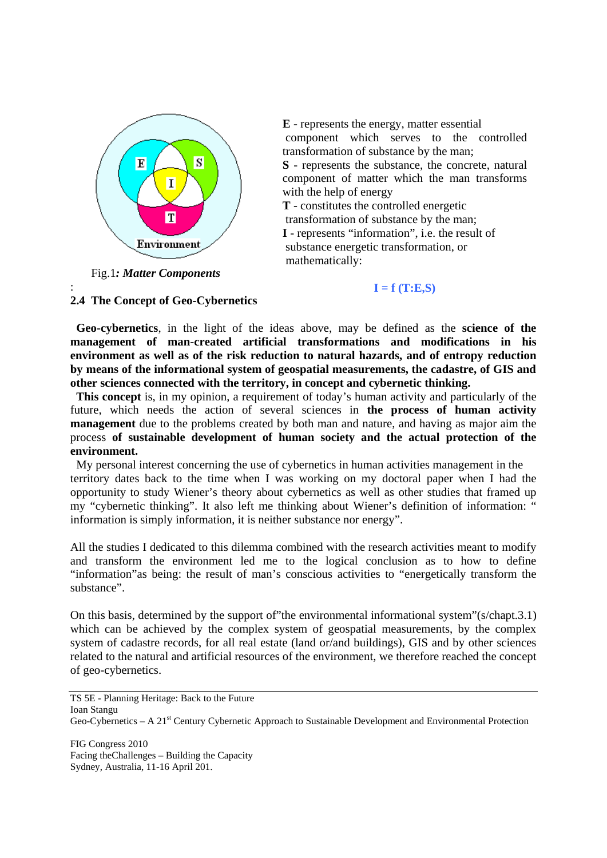

**E** - represents the energy, matter essential component which serves to the controlled transformation of substance by the man; **S** - represents the substance, the concrete, natural

component of matter which the man transforms with the help of energy

**T** - constitutes the controlled energetic transformation of substance by the man; **I** - represents "information", i.e. the result of substance energetic transformation, or mathematically:

Fig.1*: Matter Components*

:

# $I = f(T:E,S)$

### **2.4 The Concept of Geo-Cybernetics**

 **Geo-cybernetics**, in the light of the ideas above, may be defined as the **science of the management of man-created artificial transformations and modifications in his environment as well as of the risk reduction to natural hazards, and of entropy reduction by means of the informational system of geospatial measurements, the cadastre, of GIS and other sciences connected with the territory, in concept and cybernetic thinking.** 

 **This concept** is, in my opinion, a requirement of today's human activity and particularly of the future, which needs the action of several sciences in **the process of human activity management** due to the problems created by both man and nature, and having as major aim the process **of sustainable development of human society and the actual protection of the environment.** 

 My personal interest concerning the use of cybernetics in human activities management in the territory dates back to the time when I was working on my doctoral paper when I had the opportunity to study Wiener's theory about cybernetics as well as other studies that framed up my "cybernetic thinking". It also left me thinking about Wiener's definition of information: " information is simply information, it is neither substance nor energy".

All the studies I dedicated to this dilemma combined with the research activities meant to modify and transform the environment led me to the logical conclusion as to how to define "information"as being: the result of man's conscious activities to "energetically transform the substance".

On this basis, determined by the support of"the environmental informational system"(s/chapt.3.1) which can be achieved by the complex system of geospatial measurements, by the complex system of cadastre records, for all real estate (land or/and buildings), GIS and by other sciences related to the natural and artificial resources of the environment, we therefore reached the concept of geo-cybernetics.

TS 5E - Planning Heritage: Back to the Future Ioan Stangu Geo-Cybernetics – A 21<sup>st</sup> Century Cybernetic Approach to Sustainable Development and Environmental Protection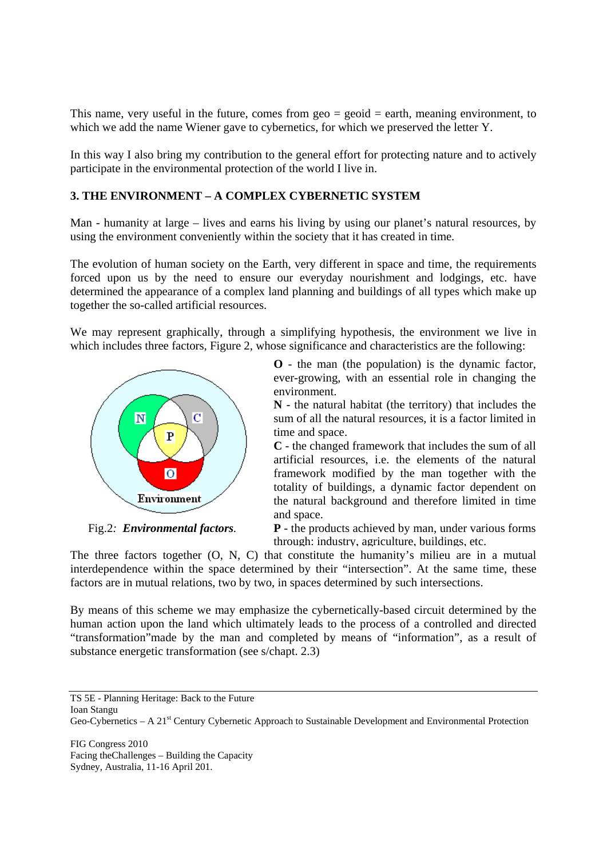This name, very useful in the future, comes from  $geo = geoid = earth$ , meaning environment, to which we add the name Wiener gave to cybernetics, for which we preserved the letter Y.

In this way I also bring my contribution to the general effort for protecting nature and to actively participate in the environmental protection of the world I live in.

## **3. THE ENVIRONMENT – A COMPLEX CYBERNETIC SYSTEM**

Man - humanity at large – lives and earns his living by using our planet's natural resources, by using the environment conveniently within the society that it has created in time.

The evolution of human society on the Earth, very different in space and time, the requirements forced upon us by the need to ensure our everyday nourishment and lodgings, etc. have determined the appearance of a complex land planning and buildings of all types which make up together the so-called artificial resources.

We may represent graphically, through a simplifying hypothesis, the environment we live in which includes three factors, Figure 2, whose significance and characteristics are the following:



Fig.2*: Environmental factors.* 

**O** - the man (the population) is the dynamic factor, ever-growing, with an essential role in changing the environment.

**N** - the natural habitat (the territory) that includes the sum of all the natural resources, it is a factor limited in time and space.

**C** - the changed framework that includes the sum of all artificial resources, i.e. the elements of the natural framework modified by the man together with the totality of buildings, a dynamic factor dependent on the natural background and therefore limited in time and space.

**P** - the products achieved by man, under various forms through: industry, agriculture, buildings, etc.

The three factors together (O, N, C) that constitute the humanity's milieu are in a mutual interdependence within the space determined by their "intersection". At the same time, these factors are in mutual relations, two by two, in spaces determined by such intersections.

By means of this scheme we may emphasize the cybernetically-based circuit determined by the human action upon the land which ultimately leads to the process of a controlled and directed "transformation"made by the man and completed by means of "information", as a result of substance energetic transformation (see s/chapt. 2.3)

TS 5E - Planning Heritage: Back to the Future Ioan Stangu Geo-Cybernetics – A 21<sup>st</sup> Century Cybernetic Approach to Sustainable Development and Environmental Protection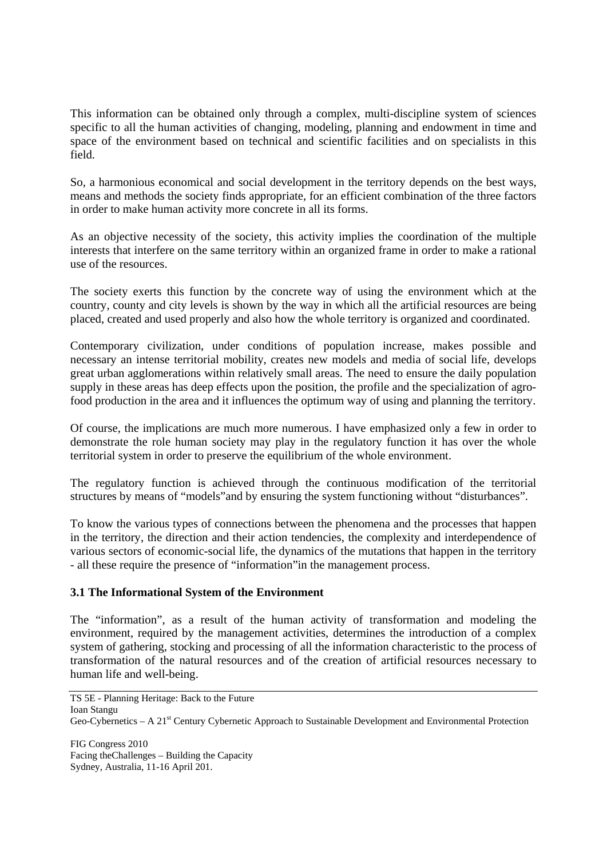This information can be obtained only through a complex, multi-discipline system of sciences specific to all the human activities of changing, modeling, planning and endowment in time and space of the environment based on technical and scientific facilities and on specialists in this field.

So, a harmonious economical and social development in the territory depends on the best ways, means and methods the society finds appropriate, for an efficient combination of the three factors in order to make human activity more concrete in all its forms.

As an objective necessity of the society, this activity implies the coordination of the multiple interests that interfere on the same territory within an organized frame in order to make a rational use of the resources.

The society exerts this function by the concrete way of using the environment which at the country, county and city levels is shown by the way in which all the artificial resources are being placed, created and used properly and also how the whole territory is organized and coordinated.

Contemporary civilization, under conditions of population increase, makes possible and necessary an intense territorial mobility, creates new models and media of social life, develops great urban agglomerations within relatively small areas. The need to ensure the daily population supply in these areas has deep effects upon the position, the profile and the specialization of agrofood production in the area and it influences the optimum way of using and planning the territory.

Of course, the implications are much more numerous. I have emphasized only a few in order to demonstrate the role human society may play in the regulatory function it has over the whole territorial system in order to preserve the equilibrium of the whole environment.

The regulatory function is achieved through the continuous modification of the territorial structures by means of "models"and by ensuring the system functioning without "disturbances".

To know the various types of connections between the phenomena and the processes that happen in the territory, the direction and their action tendencies, the complexity and interdependence of various sectors of economic-social life, the dynamics of the mutations that happen in the territory - all these require the presence of "information"in the management process.

### **3.1 The Informational System of the Environment**

The "information", as a result of the human activity of transformation and modeling the environment, required by the management activities, determines the introduction of a complex system of gathering, stocking and processing of all the information characteristic to the process of transformation of the natural resources and of the creation of artificial resources necessary to human life and well-being.

TS 5E - Planning Heritage: Back to the Future Ioan Stangu Geo-Cybernetics – A 21<sup>st</sup> Century Cybernetic Approach to Sustainable Development and Environmental Protection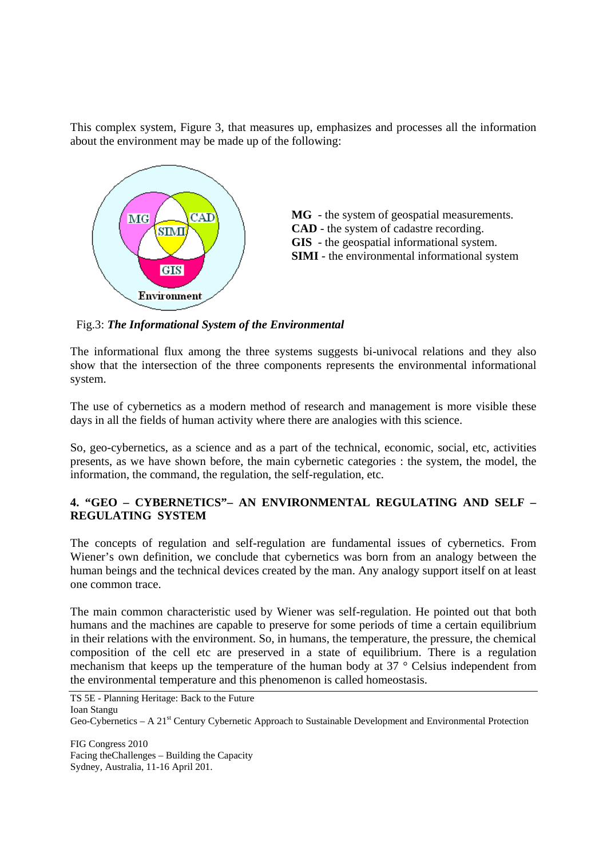This complex system, Figure 3, that measures up, emphasizes and processes all the information about the environment may be made up of the following:



Fig.3: *The Informational System of the Environmental*

The informational flux among the three systems suggests bi-univocal relations and they also show that the intersection of the three components represents the environmental informational system.

The use of cybernetics as a modern method of research and management is more visible these days in all the fields of human activity where there are analogies with this science.

So, geo-cybernetics, as a science and as a part of the technical, economic, social, etc, activities presents, as we have shown before, the main cybernetic categories : the system, the model, the information, the command, the regulation, the self-regulation, etc.

# **4. "GEO – CYBERNETICS"– AN ENVIRONMENTAL REGULATING AND SELF – REGULATING SYSTEM**

The concepts of regulation and self-regulation are fundamental issues of cybernetics. From Wiener's own definition, we conclude that cybernetics was born from an analogy between the human beings and the technical devices created by the man. Any analogy support itself on at least one common trace.

The main common characteristic used by Wiener was self-regulation. He pointed out that both humans and the machines are capable to preserve for some periods of time a certain equilibrium in their relations with the environment. So, in humans, the temperature, the pressure, the chemical composition of the cell etc are preserved in a state of equilibrium. There is a regulation mechanism that keeps up the temperature of the human body at 37 ° Celsius independent from the environmental temperature and this phenomenon is called homeostasis.

TS 5E - Planning Heritage: Back to the Future Ioan Stangu Geo-Cybernetics – A 21<sup>st</sup> Century Cybernetic Approach to Sustainable Development and Environmental Protection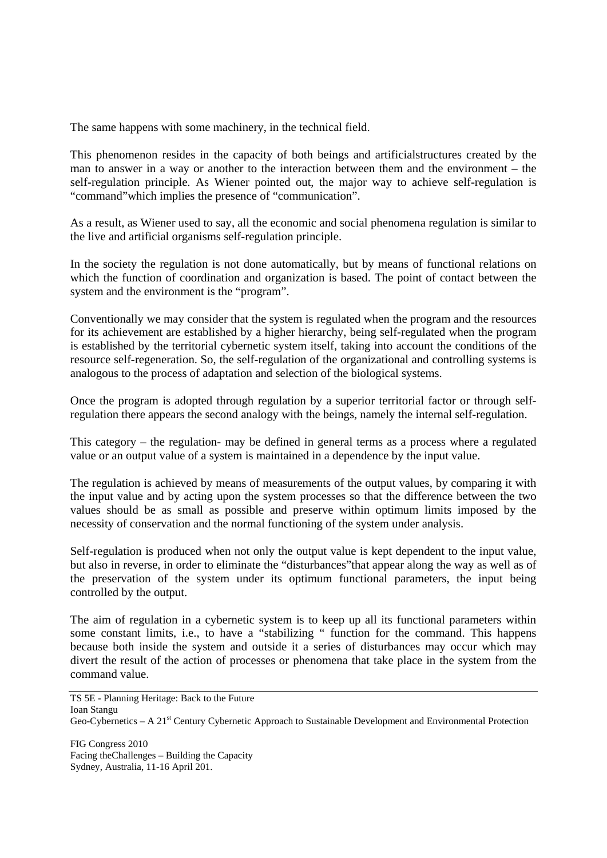The same happens with some machinery, in the technical field.

This phenomenon resides in the capacity of both beings and artificialstructures created by the man to answer in a way or another to the interaction between them and the environment – the self-regulation principle. As Wiener pointed out, the major way to achieve self-regulation is "command"which implies the presence of "communication".

As a result, as Wiener used to say, all the economic and social phenomena regulation is similar to the live and artificial organisms self-regulation principle.

In the society the regulation is not done automatically, but by means of functional relations on which the function of coordination and organization is based. The point of contact between the system and the environment is the "program".

Conventionally we may consider that the system is regulated when the program and the resources for its achievement are established by a higher hierarchy, being self-regulated when the program is established by the territorial cybernetic system itself, taking into account the conditions of the resource self-regeneration. So, the self-regulation of the organizational and controlling systems is analogous to the process of adaptation and selection of the biological systems.

Once the program is adopted through regulation by a superior territorial factor or through selfregulation there appears the second analogy with the beings, namely the internal self-regulation.

This category – the regulation- may be defined in general terms as a process where a regulated value or an output value of a system is maintained in a dependence by the input value.

The regulation is achieved by means of measurements of the output values, by comparing it with the input value and by acting upon the system processes so that the difference between the two values should be as small as possible and preserve within optimum limits imposed by the necessity of conservation and the normal functioning of the system under analysis.

Self-regulation is produced when not only the output value is kept dependent to the input value, but also in reverse, in order to eliminate the "disturbances"that appear along the way as well as of the preservation of the system under its optimum functional parameters, the input being controlled by the output.

The aim of regulation in a cybernetic system is to keep up all its functional parameters within some constant limits, i.e., to have a "stabilizing " function for the command. This happens because both inside the system and outside it a series of disturbances may occur which may divert the result of the action of processes or phenomena that take place in the system from the command value.

TS 5E - Planning Heritage: Back to the Future Ioan Stangu Geo-Cybernetics – A 21<sup>st</sup> Century Cybernetic Approach to Sustainable Development and Environmental Protection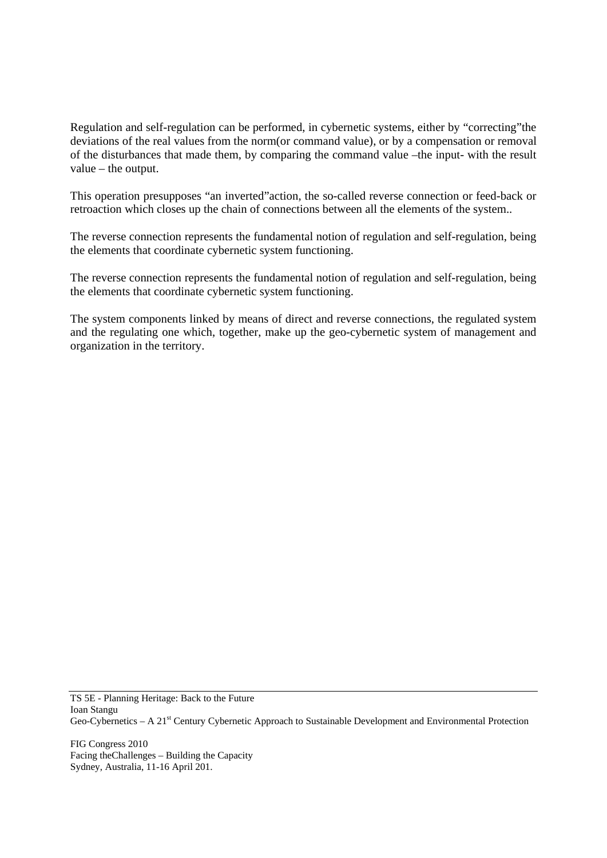Regulation and self-regulation can be performed, in cybernetic systems, either by "correcting"the deviations of the real values from the norm(or command value), or by a compensation or removal of the disturbances that made them, by comparing the command value –the input- with the result value – the output.

This operation presupposes "an inverted"action, the so-called reverse connection or feed-back or retroaction which closes up the chain of connections between all the elements of the system..

The reverse connection represents the fundamental notion of regulation and self-regulation, being the elements that coordinate cybernetic system functioning.

The reverse connection represents the fundamental notion of regulation and self-regulation, being the elements that coordinate cybernetic system functioning.

The system components linked by means of direct and reverse connections, the regulated system and the regulating one which, together, make up the geo-cybernetic system of management and organization in the territory.

TS 5E - Planning Heritage: Back to the Future Ioan Stangu Geo-Cybernetics – A 21<sup>st</sup> Century Cybernetic Approach to Sustainable Development and Environmental Protection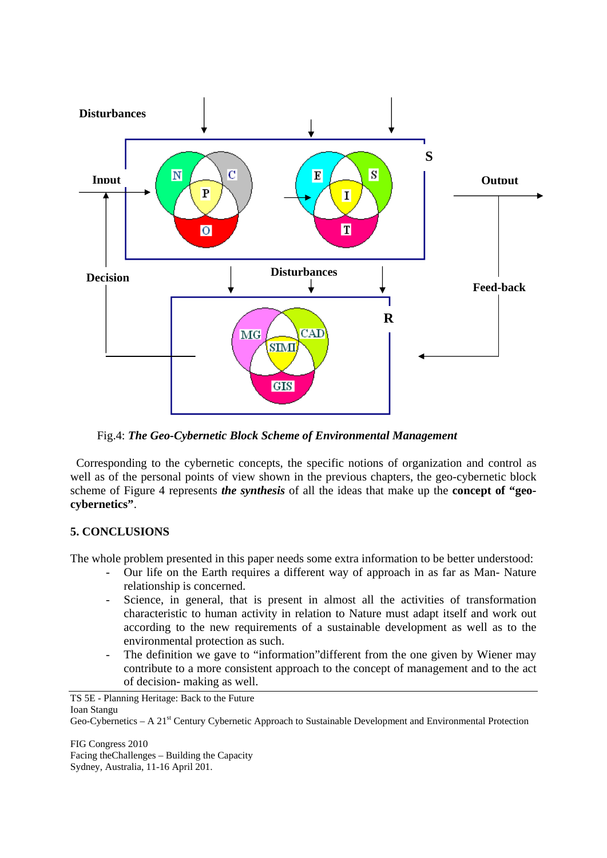

Fig.4: *The Geo-Cybernetic Block Scheme of Environmental Management*

 Corresponding to the cybernetic concepts, the specific notions of organization and control as well as of the personal points of view shown in the previous chapters, the geo-cybernetic block scheme of Figure 4 represents *the synthesis* of all the ideas that make up the **concept of "geocybernetics"**.

# **5. CONCLUSIONS**

The whole problem presented in this paper needs some extra information to be better understood:

- Our life on the Earth requires a different way of approach in as far as Man- Nature relationship is concerned.
- Science, in general, that is present in almost all the activities of transformation characteristic to human activity in relation to Nature must adapt itself and work out according to the new requirements of a sustainable development as well as to the environmental protection as such.
- The definition we gave to "information" different from the one given by Wiener may contribute to a more consistent approach to the concept of management and to the act of decision- making as well.

TS 5E - Planning Heritage: Back to the Future Ioan Stangu

Geo-Cybernetics – A 21<sup>st</sup> Century Cybernetic Approach to Sustainable Development and Environmental Protection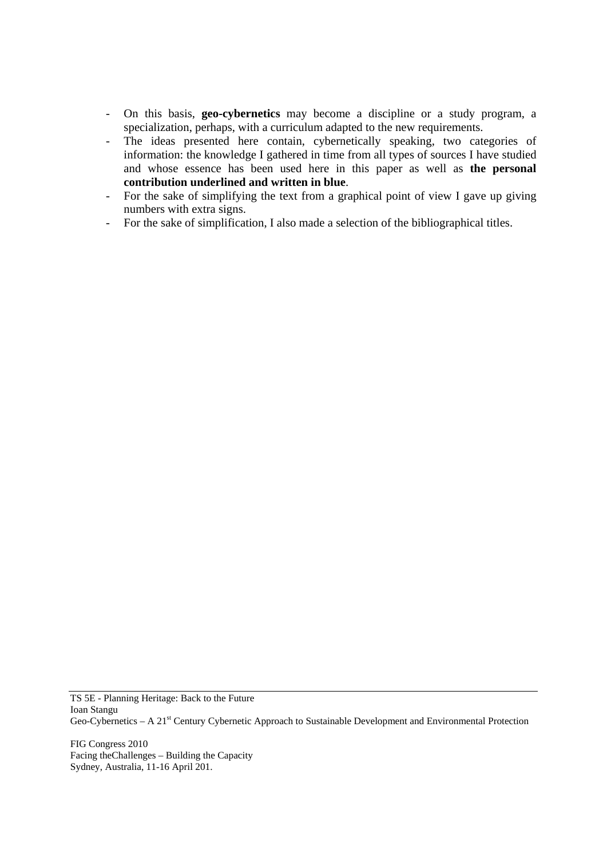- On this basis, **geo-cybernetics** may become a discipline or a study program, a specialization, perhaps, with a curriculum adapted to the new requirements.
- The ideas presented here contain, cybernetically speaking, two categories of information: the knowledge I gathered in time from all types of sources I have studied and whose essence has been used here in this paper as well as **the personal contribution underlined and written in blue**.
- For the sake of simplifying the text from a graphical point of view I gave up giving numbers with extra signs.
- For the sake of simplification, I also made a selection of the bibliographical titles.

TS 5E - Planning Heritage: Back to the Future Ioan Stangu Geo-Cybernetics – A 21<sup>st</sup> Century Cybernetic Approach to Sustainable Development and Environmental Protection